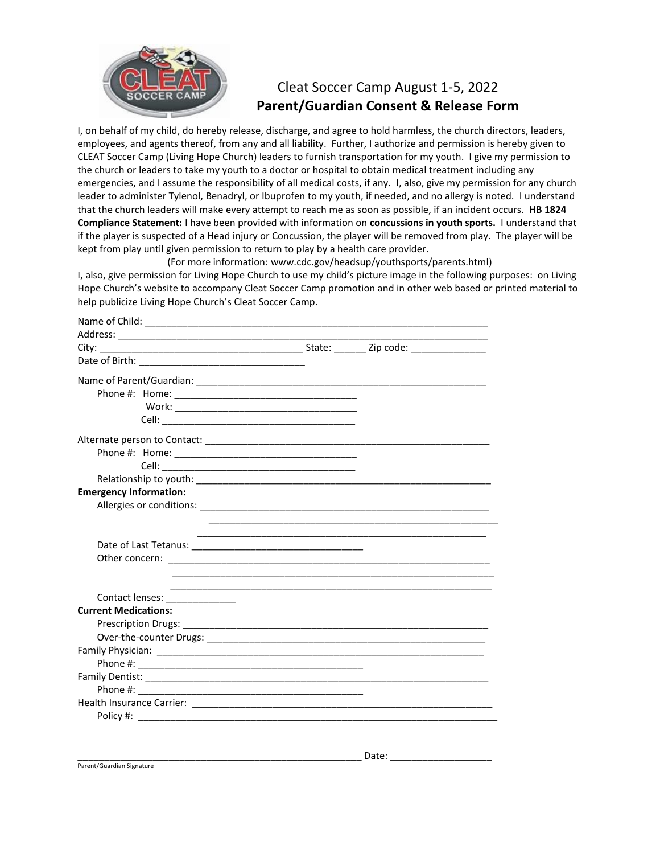

## Cleat Soccer Camp August 1-5, 2022 **Parent/Guardian Consent & Release Form**

I, on behalf of my child, do hereby release, discharge, and agree to hold harmless, the church directors, leaders, employees, and agents thereof, from any and all liability. Further, I authorize and permission is hereby given to CLEAT Soccer Camp (Living Hope Church) leaders to furnish transportation for my youth. I give my permission to the church or leaders to take my youth to a doctor or hospital to obtain medical treatment including any emergencies, and I assume the responsibility of all medical costs, if any. I, also, give my permission for any church leader to administer Tylenol, Benadryl, or Ibuprofen to my youth, if needed, and no allergy is noted. I understand that the church leaders will make every attempt to reach me as soon as possible, if an incident occurs. **HB 1824 Compliance Statement:** I have been provided with information on **concussions in youth sports.** I understand that if the player is suspected of a Head injury or Concussion, the player will be removed from play. The player will be kept from play until given permission to return to play by a health care provider.

(For more information: www.cdc.gov/headsup/youthsports/parents.html)

I, also, give permission for Living Hope Church to use my child's picture image in the following purposes: on Living Hope Church's website to accompany Cleat Soccer Camp promotion and in other web based or printed material to help publicize Living Hope Church's Cleat Soccer Camp.

| <b>Emergency Information:</b> |  |
|-------------------------------|--|
|                               |  |
|                               |  |
|                               |  |
|                               |  |
|                               |  |
|                               |  |
| Contact lenses: _____________ |  |
| <b>Current Medications:</b>   |  |
|                               |  |
|                               |  |
|                               |  |
|                               |  |
|                               |  |
|                               |  |
|                               |  |
|                               |  |
|                               |  |

Parent/Guardian Signature